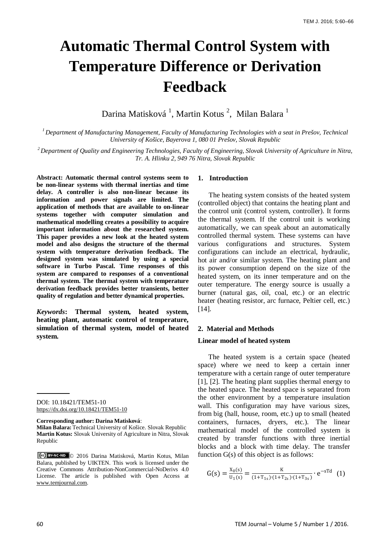# **Automatic Thermal Control System with Temperature Difference or Derivation Feedback**

Darina Matisková <sup>1</sup>, Martin Kotus <sup>2</sup>, Milan Balara <sup>1</sup>

*1 Department of Manufacturing Management, Faculty of Manufacturing Technologies with a seat in Prešov, Technical University of Košice, Bayerova 1, 080 01 Prešov, Slovak Republic*

*<sup>2</sup> Department of Quality and Engineering Technologies, Faculty of Engineering, Slovak University of Agriculture in Nitra, Tr. A. Hlinku 2, 949 76 Nitra, Slovak Republic*

**Abstract: Automatic thermal control systems seem to be non-linear systems with thermal inertias and time delay. A controller is also non-linear because its information and power signals are limited. The application of methods that are available to on-linear systems together with computer simulation and mathematical modelling creates a possibility to acquire important information about the researched system. This paper provides a new look at the heated system model and also designs the structure of the thermal system with temperature derivation feedback. The designed system was simulated by using a special software in Turbo Pascal. Time responses of this system are compared to responses of a conventional thermal system. The thermal system with temperature derivation feedback provides better transients, better quality of regulation and better dynamical properties.**

*Keywords***: Thermal system, heated system, heating plant, automatic control of temperature, simulation of thermal system, model of heated system.**

DOI: 10.18421/TEM51-10 <https://dx.doi.org/10.18421/TEM51-10>

**Corresponding author: Darina Matisková**:

**Milan Balara:**Technical University of Košice. Slovak Republic **Martin Kotus:** Slovak University of Agriculture in Nitra, Slovak Republic

© 2016 Darina Matisková, Martin Kotus, Milan Balara, published by UIKTEN. This work is licensed under the Creative Commons Attribution-NonCommercial-NoDerivs 4.0 License. The article is published with Open Access at [www.temjournal.com.](http://www.temjournal.com/)

# **1. Introduction**

The heating system consists of the heated system (controlled object) that contains the heating plant and the control unit (control system, controller). It forms the thermal system. If the control unit is working automatically, we can speak about an automatically controlled thermal system. These systems can have various configurations and structures. System configurations can include an electrical, hydraulic, hot air and/or similar system. The heating plant and its power consumption depend on the size of the heated system, on its inner temperature and on the outer temperature. The energy source is usually a burner (natural gas, oil, coal, etc.) or an electric heater (heating resistor, arc furnace, Peltier cell, etc.) [14].

# **2. Material and Methods**

#### **Linear model of heated system**

 The heated system is a certain space (heated space) where we need to keep a certain inner temperature with a certain range of outer temperature [1], [2]. The heating plant supplies thermal energy to the heated space. The heated space is separated from the other environment by a temperature insulation wall. This configuration may have various sizes, from big (hall, house, room, etc.) up to small (heated containers, furnaces, dryers, etc.). The linear mathematical model of the controlled system is created by transfer functions with three inertial blocks and a block with time delay. The transfer function G(s) of this object is as follows:

$$
G(s) = \frac{x_0(s)}{U_1(s)} = \frac{K}{(1+T_{1s}) \cdot (1+T_{2s}) \cdot (1+T_{3s})} \cdot e^{-sTd} \quad (1)
$$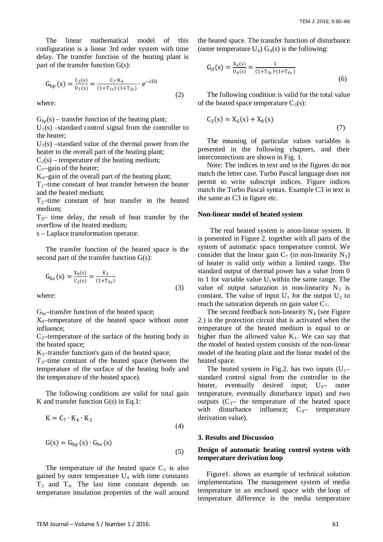The linear mathematical model of this configuration is a linear 3rd order system with time delay. The transfer function of the heating plant is part of the transfer function G(s):

$$
G_{hp}(s) = \frac{C_2(s)}{U_1(s)} = \frac{C_7 \cdot K_4}{(1 + T_{1s}) \cdot (1 + T_{2s})} \cdot e^{-sTd}
$$
(2)

where:

 $G<sub>ho</sub>(s)$  – transfer function of the heating plant;

 $U_1(s)$  –standard control signal from the controller to the heater;

 $U_2(s)$  –standard value of the thermal power from the heater to the overall part of the heating plant;

 $C_2(s)$  – temperature of the heating medium;

 $C_7$ –gain of the heater;

 $K_4$ –gain of the overall part of the heating plant;

 $T_1$ –time constant of heat transfer between the heater and the heated medium;

 $T<sub>2</sub>$ –time constant of heat transfer in the heated medium;

 $T_d$ – time delay, the result of heat transfer by the overflow of the heated medium;

s – Laplace transformation operator.

The transfer function of the heated space is the second part of the transfer function G(s):

$$
G_{\text{hs}}(s) = \frac{X_0(s)}{C_2(s)} = \frac{K_3}{(1 + T_{3s})}
$$
\n(3)

where:

Ghs–transfer function of the heated space;

 $X_0$ -temperature of the heated space without outer influence;

 $C_2$ -temperature of the surface of the heating body in the heated space;

 $K_3$ -transfer function's gain of the heated space;

 $T<sub>3</sub>$ -time constant of the heated space (between the temperature of the surface of the heating body and the temperature of the heated space).

The following conditions are valid for total gain K and transfer function G(s) in Eq.1:

$$
K = C_7 \cdot K_4 \cdot K_3
$$
\n
$$
G(s) = G_{hp}(s) \cdot G_{hs}(s)
$$
\n
$$
(5)
$$

The temperature of the heated space  $C_3$  is also gained by outer temperature  $U_4$  with time constants  $T_3$  and  $T_4$ . The last time constant depends on temperature insulation properties of the wall around the heated space. The transfer function of disturbance (outer temperature  $U_4$ )  $G_4(s)$  is the following:

$$
G_d(s) = \frac{X_6(s)}{U_4(s)} = \frac{1}{(1+T_{3s}) \cdot (1+T_{4s})}
$$
(6)

The following condition is valid for the total value of the heated space temperature  $C_3(s)$ :

$$
C_3(s) = X_6(s) + X_0(s)
$$
\n(7)

The meaning of particular values variables is presented in the following chapters, and their interconnections are shown in Fig. 1.

Note: The indices in text and in the figures do not match the letter case. Turbo Pascal language does not permit to write subscript indices. Figure indices match the Turbo Pascal syntax. Example C3 in text is the same as C3 in figure etc.

#### **Non-linear model of heated system**

 The real heated system is anon-linear system. It is presented in Figure 2. together with all parts of the system of automatic space temperature control. We consider that the linear gain  $C_7$  (in non-linearity  $N_3$ ) of heater is valid only within a limited range. The standard output of thermal power has a value from 0 to 1 for variable value  $U_1$  within the same range. The value of output saturation in non-linearity  $N_3$  is constant. The value of input  $U_1$  for the output  $U_2$  to reach the saturation depends on gain value  $C_7$ .

The second feedback non-linearity  $N_4$  (see Figure 2.) is the protection circuit that is activated when the temperature of the heated medium is equal to or higher than the allowed value  $K_1$ . We can say that the model of heated system consists of the non-linear model of the heating plant and the linear model of the heated space.

The heated system in Fig.2. has two inputs  $(U_1$ standard control signal from the controller to the heater, eventually desired input;  $U_4$ – outer temperature, eventually disturbance input) and two outputs  $(C_{3}$ — the temperature of the heated space with disturbance influence;  $C_{4-}$  temperature derivation value).

## **3. Results and Discussion**

# **Design of automatic heating control system with temperature derivation loop**

 Figure1. shows an example of technical solution implementation. The management system of media temperature in an enclosed space with the loop of temperature difference is the media temperature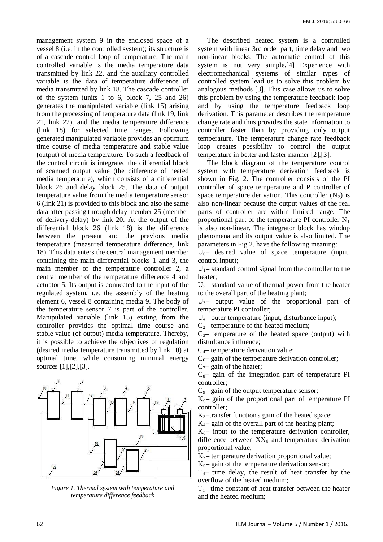management system 9 in the enclosed space of a vessel 8 (i.e. in the controlled system); its structure is of a cascade control loop of temperature. The main controlled variable is the media temperature data transmitted by link 22, and the auxiliary controlled variable is the data of temperature difference of media transmitted by link 18. The cascade controller of the system (units 1 to 6, block 7, 25 and 26) generates the manipulated variable (link 15) arising from the processing of temperature data (link 19, link 21, link 22), and the media temperature difference (link 18) for selected time ranges. Following generated manipulated variable provides an optimum time course of media temperature and stable value (output) of media temperature. To such a feedback of the control circuit is integrated the differential block of scanned output value (the difference of heated media temperature), which consists of a differential block 26 and delay block 25. The data of output temperature value from the media temperature sensor 6 (link 21) is provided to this block and also the same data after passing through delay member 25 (member of delivery-delay) by link 20. At the output of the differential block 26 (link 18) is the difference between the present and the previous media temperature (measured temperature difference, link 18). This data enters the central management member containing the main differential blocks 1 and 3, the main member of the temperature controller 2, a central member of the temperature difference 4 and actuator 5. Its output is connected to the input of the regulated system, i.e. the assembly of the heating element 6, vessel 8 containing media 9. The body of the temperature sensor 7 is part of the controller. Manipulated variable (link 15) exiting from the controller provides the optimal time course and stable value (of output) media temperature. Thereby, it is possible to achieve the objectives of regulation (desired media temperature transmitted by link 10) at optimal time, while consuming minimal energy sources [1],[2],[3].



*Figure 1. Thermal system with temperature and temperature difference feedback*

The described heated system is a controlled system with linear 3rd order part, time delay and two non-linear blocks. The automatic control of this system is not very simple.[4] Experience with electromechanical systems of similar types of controlled system lead us to solve this problem by analogous methods [3]. This case allows us to solve this problem by using the temperature feedback loop and by using the temperature feedback loop derivation. This parameter describes the temperature change rate and thus provides the state information to controller faster than by providing only output temperature. The temperature change rate feedback loop creates possibility to control the output temperature in better and faster manner [2],[3].

The block diagram of the temperature control system with temperature derivation feedback is shown in Fig. 2. The controller consists of the PI controller of space temperature and P controller of space temperature derivation. This controller  $(N_2)$  is also non-linear because the output values of the real parts of controller are within limited range. The proportional part of the temperature PI controller  $N_1$ is also non-linear. The integrator block has windup phenomena and its output value is also limited. The parameters in Fig.2. have the following meaning:

 $U_0$ – desired value of space temperature (input, control input);

 $U_1$ – standard control signal from the controller to the heater;

 $U_2$ – standard value of thermal power from the heater to the overall part of the heating plant;

 $U_{3}$ – output value of the proportional part of temperature PI controller;

 $U_4$ – outer temperature (input, disturbance input);

 $C<sub>2</sub>$ – temperature of the heated medium;

 $C_{3}$ – temperature of the heated space (output) with disturbance influence;

 $C<sub>4</sub>$ – temperature derivation value;

 $C_6$ – gain of the temperature derivation controller;

 $C_{7}$ – gain of the heater;

 $C_{8}$ – gain of the integration part of temperature PI controller;

 $C_9$ – gain of the output temperature sensor;

 $K_0$ – gain of the proportional part of temperature PI controller;

 $K_3$ -transfer function's gain of the heated space;

 $K_{4}$ – gain of the overall part of the heating plant;

 $K_6$ – input to the temperature derivation controller, difference between  $XX_8$  and temperature derivation proportional value;

 $K<sub>7</sub>$ – temperature derivation proportional value;

 $K_0$ – gain of the temperature derivation sensor:

 $T_d$ – time delay, the result of heat transfer by the overflow of the heated medium;

 $T_{1}$ – time constant of heat transfer between the heater and the heated medium;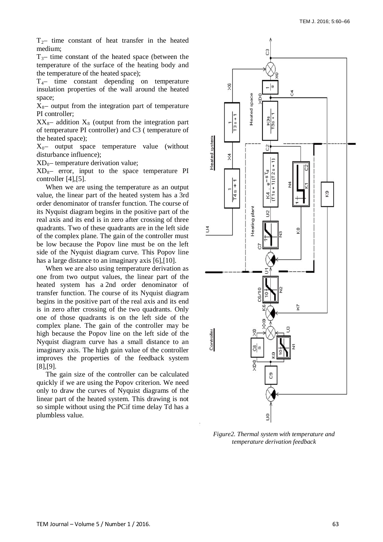$T_{2}$ – time constant of heat transfer in the heated medium;

 $T_{3}$ – time constant of the heated space (between the temperature of the surface of the heating body and the temperature of the heated space);

 $T_{4}$ – time constant depending on temperature insulation properties of the wall around the heated space;

 $X_{8}$ – output from the integration part of temperature PI controller;

 $XX_{8}$ – addition  $X_{8}$  (output from the integration part of temperature PI controller) and C3 ( temperature of the heated space);

 $X_0$ – output space temperature value (without disturbance influence);

 $XD_0$ – temperature derivation value;

 $XD_{8}$ – error, input to the space temperature PI controller [4],[5].

When we are using the temperature as an output value, the linear part of the heated system has a 3rd order denominator of transfer function. The course of its Nyquist diagram begins in the positive part of the real axis and its end is in zero after crossing of three quadrants. Two of these quadrants are in the left side of the complex plane. The gain of the controller must be low because the Popov line must be on the left side of the Nyquist diagram curve. This Popov line has a large distance to an imaginary axis [6], [10].

When we are also using temperature derivation as one from two output values, the linear part of the heated system has a 2nd order denominator of transfer function. The course of its Nyquist diagram begins in the positive part of the real axis and its end is in zero after crossing of the two quadrants. Only one of those quadrants is on the left side of the complex plane. The gain of the controller may be high because the Popov line on the left side of the Nyquist diagram curve has a small distance to an imaginary axis. The high gain value of the controller improves the properties of the feedback system [8],[9].

The gain size of the controller can be calculated quickly if we are using the Popov criterion. We need only to draw the curves of Nyquist diagrams of the linear part of the heated system. This drawing is not so simple without using the PCif time delay Td has a plumbless value.



*Figure2. Thermal system with temperature and temperature derivation feedback*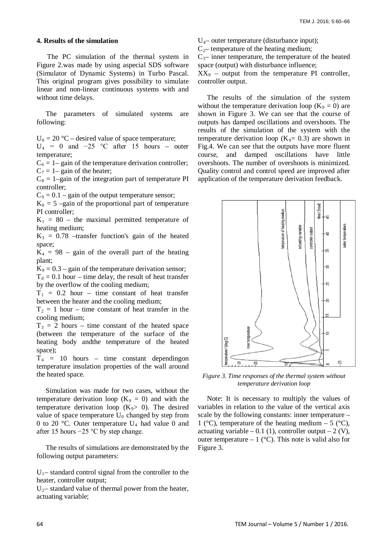## **4. Results of the simulation**

 The PC simulation of the thermal system in Figure 2.was made by using aspecial SDS software (Simulator of Dynamic Systems) in Turbo Pascal. This original program gives possibility to simulate linear and non-linear continuous systems with and without time delays.

The parameters of simulated systems are following:

 $U_0 = 20$  °C – desired value of space temperature;

 $U_4 = 0$  and  $-25$  °C after 15 hours – outer temperature;

 $C_6 = 1$ – gain of the temperature derivation controller;  $C_7 = 1$ – gain of the heater;

 $C_8 = 1$ –gain of the integration part of temperature PI controller;

 $C_9 = 0.1$  – gain of the output temperature sensor;

 $K_0 = 5$  –gain of the proportional part of temperature PI controller;

 $K_1 = 80$  – the maximal permitted temperature of heating medium;

 $K_3 = 0.78$  –transfer function's gain of the heated space;

 $K_4$  = 98 – gain of the overall part of the heating plant;

 $K_9 = 0.3$  – gain of the temperature derivation sensor;  $T_d = 0.1$  hour – time delay, the result of heat transfer

by the overflow of the cooling medium;

 $T_1$  = 0.2 hour – time constant of heat transfer between the heater and the cooling medium;

 $T_2 = 1$  hour – time constant of heat transfer in the cooling medium;

 $T_3 = 2$  hours – time constant of the heated space (between the temperature of the surface of the heating body andthe temperature of the heated space);

 $T_4$  = 10 hours – time constant depending on temperature insulation properties of the wall around the heated space.

Simulation was made for two cases, without the temperature derivation loop  $(K_9 = 0)$  and with the temperature derivation loop  $(K_9 > 0)$ . The desired value of space temperature  $U_0$  changed by step from 0 to 20 °C. Outer temperature  $U_4$  had value 0 and after 15 hours −25 °C by step change.

The results of simulations are demonstrated by the following output parameters:

 $U_1$ – standard control signal from the controller to the heater, controller output;

 $U_2$ – standard value of thermal power from the heater, actuating variable;

 $U_4$ – outer temperature (disturbance input);

 $C<sub>2</sub>$ – temperature of the heating medium;

 $C_{3}$ – inner temperature, the temperature of the heated space (output) with disturbance influence;

 $XX_8$  – output from the temperature PI controller, controller output.

The results of the simulation of the system without the temperature derivation loop ( $K_9 = 0$ ) are shown in Figure 3. We can see that the course of outputs has damped oscillations and overshoots. The results of the simulation of the system with the temperature derivation loop  $(K_9 = 0.3)$  are shown in Fig.4. We can see that the outputs have more fluent course, and damped oscillations have little overshoots. The number of overshoots is minimized. Quality control and control speed are improved after application of the temperature derivation feedback.



*Figure 3. Time responses of the thermal system without temperature derivation loop*

Note: It is necessary to multiply the values of variables in relation to the value of the vertical axis scale by the following constants: inner temperature – 1 ( $\degree$ C), temperature of the heating medium – 5 ( $\degree$ C), actuating variable – 0.1 (1), controller output – 2 (V), outer temperature  $-1$  (°C). This note is valid also for Figure 3.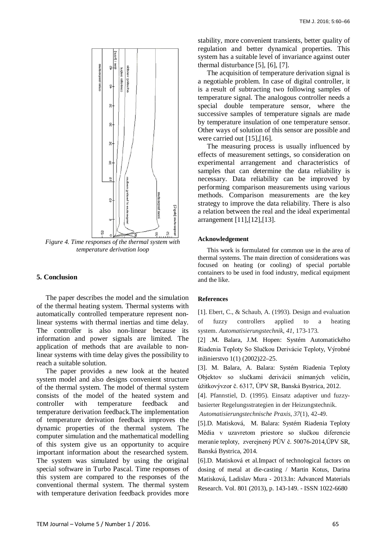

*Figure 4. Time responses of the thermal system with temperature derivation loop*

## **5. Conclusion**

The paper describes the model and the simulation of the thermal heating system. Thermal systems with automatically controlled temperature represent nonlinear systems with thermal inertias and time delay. The controller is also non-linear because its information and power signals are limited. The application of methods that are available to nonlinear systems with time delay gives the possibility to reach a suitable solution.

The paper provides a new look at the heated system model and also designs convenient structure of the thermal system. The model of thermal system consists of the model of the heated system and controller with temperature feedback and temperature derivation feedback.The implementation of temperature derivation feedback improves the dynamic properties of the thermal system. The computer simulation and the mathematical modelling of this system give us an opportunity to acquire important information about the researched system. The system was simulated by using the original special software in Turbo Pascal. Time responses of this system are compared to the responses of the conventional thermal system. The thermal system with temperature derivation feedback provides more

stability, more convenient transients, better quality of regulation and better dynamical properties. This system has a suitable level of invariance against outer thermal disturbance [5], [6], [7].

The acquisition of temperature derivation signal is a negotiable problem. In case of digital controller, it is a result of subtracting two following samples of temperature signal. The analogous controller needs a special double temperature sensor, where the successive samples of temperature signals are made by temperature insulation of one temperature sensor. Other ways of solution of this sensor are possible and were carried out [15],[16].

The measuring process is usually influenced by effects of measurement settings, so consideration on experimental arrangement and characteristics of samples that can determine the data reliability is necessary. Data reliability can be improved by performing comparison measurements using various methods. Comparison measurements are the key strategy to improve the data reliability. There is also a relation between the real and the ideal experimental arrangement [11],[12],[13].

#### **Acknowledgement**

This work is formulated for common use in the area of thermal systems. The main direction of considerations was focused on heating (or cooling) of special portable containers to be used in food industry, medical equipment and the like.

#### **References**

[1]. Ebert, C., & Schaub, A. (1993). Design and evaluation of fuzzy controllers applied to a heating system. *Automatisierungstechnik*, *41*, 173-173.

[2] .M. Balara, J.M. Hopen: Systém Automatického Riadenia Teploty So Slučkou Derivácie Teploty, Výrobné inžinierstvo 1(1) (2002)22–25.

[3]. M. Balara, A. Balara: Systém Riadenia Teploty Objektov so slučkami derivácií snímaných veličín, úžitkovývzor č. 6317, ÚPV SR, Banská Bystrica, 2012.

[4]. Pfannstiel, D. (1995). Einsatz adaptiver und fuzzybasierter Regelungsstrategien in der Heizungstechnik.

*Automatisierungstechnische Praxis*, *37*(1), 42-49.

[5].D. Matisková, M. Balara: Systém Riadenia Teploty Média v uzavretom priestore so slučkou diferencie meranie teploty, zverejnený PÚV č. 50076-2014,ÚPV SR, Banská Bystrica, 2014.

[6].D. Matisková et al.Impact of technological factors on dosing of metal at die-casting / Martin Kotus, Darina Matisková, Ladislav Mura - 2013.In: Advanced Materials Research. Vol. 801 (2013), p. 143-149. - ISSN 1022-6680